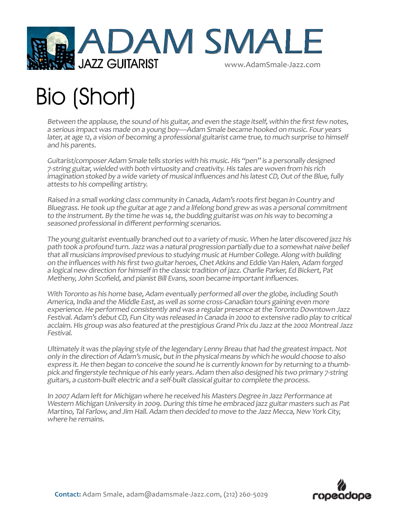

## Bio (Short)

Between the applause, the sound of his guitar, and even the stage itself, within the first few notes, a serious impact was made on a young boy—Adam Smale became hooked on music. Four years later, at age 12, a vision of becoming a professional guitarist came true, to much surprise to himself and his parents.

Guitarist/composer Adam Smale tells stories with his music. His "pen" is a personally designed 7-string guitar, wielded with both virtuosity and creativity. His tales are woven from his rich imagination stoked by a wide variety of musical influences and his latest CD, Out of the Blue, fully attests to his compelling artistry.

Raised in a small working class community in Canada, Adam's roots first began in Country and Bluegrass. He took up the guitar at age 7 and a lifelong bond grew as was a personal commitment to the instrument. By the time he was 14, the budding guitarist was on his way to becoming a seasoned professional in different performing scenarios.

The young guitarist eventually branched out to a variety of music. When he later discovered jazz his path took a profound turn. Jazz was a natural progression partially due to a somewhat naive belief that all musicians improvised previous to studying music at Humber College. Along with building on the influences with his first two guitar heroes, Chet Atkins and Eddie Van Halen, Adam forged a logical new direction for himself in the classic tradition of jazz. Charlie Parker, Ed Bickert, Pat Metheny, John Scofield, and pianist Bill Evans, soon became important influences.

With Toronto as his home base, Adam eventually performed all over the globe, including South America, India and the Middle East, as well as some cross-Canadian tours gaining even more experience. He performed consistently and was a regular presence at the Toronto Downtown Jazz Festival. Adam's debut CD, Fun City was released in Canada in 2000 to extensive radio play to critical acclaim. His group was also featured at the prestigious Grand Prix du Jazz at the 2002 Montreal Jazz Festival.

Ultimately it was the playing style of the legendary Lenny Breau that had the greatest impact. Not only in the direction of Adam's music, but in the physical means by which he would choose to also express it. He then began to conceive the sound he is currently known for by returning to a thumbpick and fingerstyle technique of his early years. Adam then also designed his two primary 7-string guitars, a custom-built electric and a self-built classical guitar to complete the process.

In 2007 Adam left for Michigan where he received his Masters Degree in Jazz Performance at Western Michigan University in 2009. During this time he embraced jazz guitar masters such as Pat Martino, Tal Farlow, and Jim Hall. Adam then decided to move to the Jazz Mecca, New York City, where he remains.